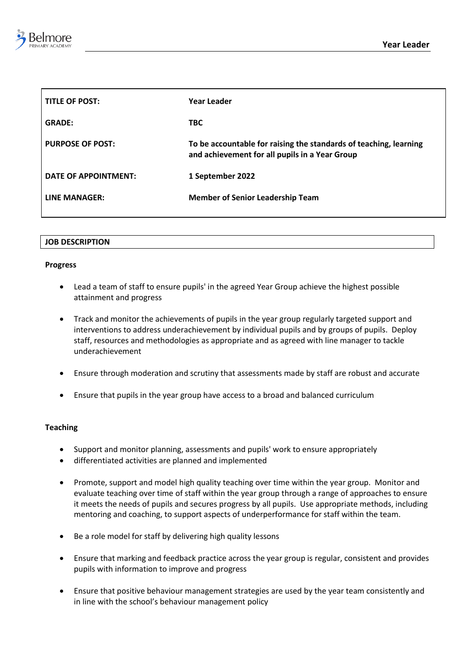

| <b>TITLE OF POST:</b>   | Year Leader                                                                                                         |
|-------------------------|---------------------------------------------------------------------------------------------------------------------|
| <b>GRADE:</b>           | <b>TBC</b>                                                                                                          |
| <b>PURPOSE OF POST:</b> | To be accountable for raising the standards of teaching, learning<br>and achievement for all pupils in a Year Group |
| DATE OF APPOINTMENT:    | 1 September 2022                                                                                                    |
| LINE MANAGER:           | <b>Member of Senior Leadership Team</b>                                                                             |

## **JOB DESCRIPTION**

## **Progress**

- Lead a team of staff to ensure pupils' in the agreed Year Group achieve the highest possible attainment and progress
- Track and monitor the achievements of pupils in the year group regularly targeted support and interventions to address underachievement by individual pupils and by groups of pupils. Deploy staff, resources and methodologies as appropriate and as agreed with line manager to tackle underachievement
- Ensure through moderation and scrutiny that assessments made by staff are robust and accurate
- Ensure that pupils in the year group have access to a broad and balanced curriculum

## **Teaching**

- Support and monitor planning, assessments and pupils' work to ensure appropriately
- differentiated activities are planned and implemented
- Promote, support and model high quality teaching over time within the year group. Monitor and evaluate teaching over time of staff within the year group through a range of approaches to ensure it meets the needs of pupils and secures progress by all pupils. Use appropriate methods, including mentoring and coaching, to support aspects of underperformance for staff within the team.
- Be a role model for staff by delivering high quality lessons
- Ensure that marking and feedback practice across the year group is regular, consistent and provides pupils with information to improve and progress
- Ensure that positive behaviour management strategies are used by the year team consistently and in line with the school's behaviour management policy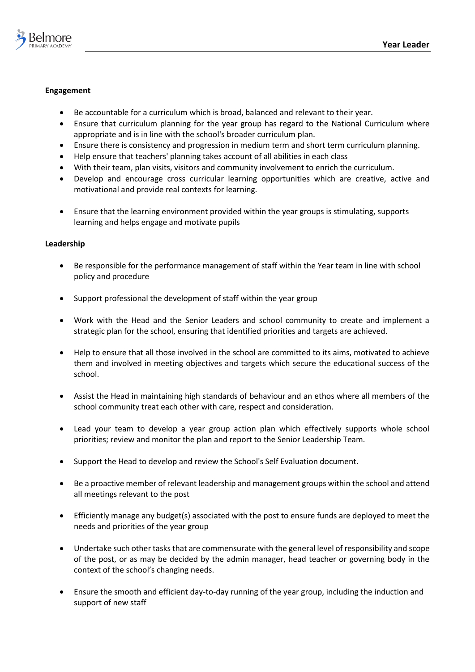

# **Engagement**

- Be accountable for a curriculum which is broad, balanced and relevant to their year.
- Ensure that curriculum planning for the year group has regard to the National Curriculum where appropriate and is in line with the school's broader curriculum plan.
- Ensure there is consistency and progression in medium term and short term curriculum planning.
- Help ensure that teachers' planning takes account of all abilities in each class
- With their team, plan visits, visitors and community involvement to enrich the curriculum.
- Develop and encourage cross curricular learning opportunities which are creative, active and motivational and provide real contexts for learning.
- Ensure that the learning environment provided within the year groups is stimulating, supports learning and helps engage and motivate pupils

## **Leadership**

- Be responsible for the performance management of staff within the Year team in line with school policy and procedure
- Support professional the development of staff within the year group
- Work with the Head and the Senior Leaders and school community to create and implement a strategic plan for the school, ensuring that identified priorities and targets are achieved.
- Help to ensure that all those involved in the school are committed to its aims, motivated to achieve them and involved in meeting objectives and targets which secure the educational success of the school.
- Assist the Head in maintaining high standards of behaviour and an ethos where all members of the school community treat each other with care, respect and consideration.
- Lead your team to develop a year group action plan which effectively supports whole school priorities; review and monitor the plan and report to the Senior Leadership Team.
- Support the Head to develop and review the School's Self Evaluation document.
- Be a proactive member of relevant leadership and management groups within the school and attend all meetings relevant to the post
- Efficiently manage any budget(s) associated with the post to ensure funds are deployed to meet the needs and priorities of the year group
- Undertake such other tasks that are commensurate with the general level of responsibility and scope of the post, or as may be decided by the admin manager, head teacher or governing body in the context of the school's changing needs.
- Ensure the smooth and efficient day-to-day running of the year group, including the induction and support of new staff